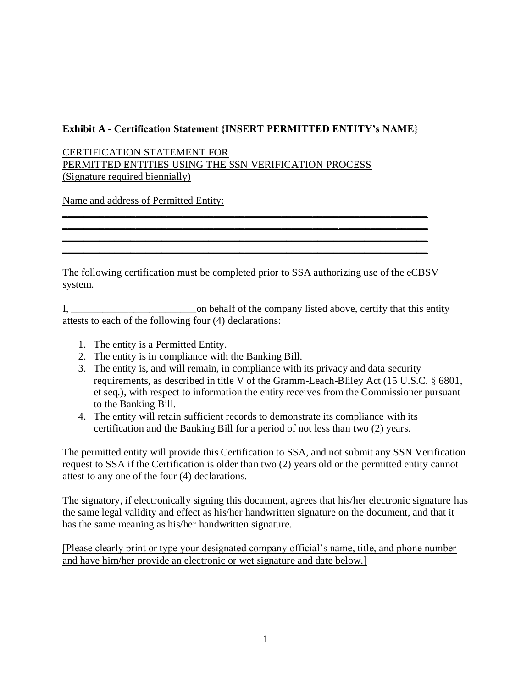## **Exhibit A - Certification Statement {INSERT PERMITTED ENTITY's NAME}**

CERTIFICATION STATEMENT FOR PERMITTED ENTITIES USING THE SSN VERIFICATION PROCESS (Signature required biennially)

Name and address of Permitted Entity:

The following certification must be completed prior to SSA authorizing use of the eCBSV system.

\_\_\_\_\_\_\_\_\_\_\_\_\_\_\_\_\_\_\_\_\_\_\_\_\_\_\_\_\_\_\_\_\_\_\_\_\_\_\_\_\_\_\_\_\_\_\_\_\_\_\_\_\_\_\_\_\_\_\_\_\_\_\_\_\_\_\_\_\_\_ \_\_\_\_\_\_\_\_\_\_\_\_\_\_\_\_\_\_\_\_\_\_\_\_\_\_\_\_\_\_\_\_\_\_\_\_\_\_\_\_\_\_\_\_\_\_\_\_\_\_\_\_\_\_\_\_\_\_\_\_\_\_\_\_\_\_\_\_\_\_ \_\_\_\_\_\_\_\_\_\_\_\_\_\_\_\_\_\_\_\_\_\_\_\_\_\_\_\_\_\_\_\_\_\_\_\_\_\_\_\_\_\_\_\_\_\_\_\_\_\_\_\_\_\_\_\_\_\_\_\_\_\_\_\_\_\_\_\_\_\_ \_\_\_\_\_\_\_\_\_\_\_\_\_\_\_\_\_\_\_\_\_\_\_\_\_\_\_\_\_\_\_\_\_\_\_\_\_\_\_\_\_\_\_\_\_\_\_\_\_\_\_\_\_\_\_\_\_\_\_\_\_\_\_\_\_\_\_\_\_\_

I, \_\_\_\_\_\_\_\_\_\_\_\_\_\_\_\_\_\_\_\_\_\_\_\_on behalf of the company listed above, certify that this entity attests to each of the following four (4) declarations:

- 1. The entity is a Permitted Entity.
- 2. The entity is in compliance with the Banking Bill.
- 3. The entity is, and will remain, in compliance with its privacy and data security requirements, as described in title V of the Gramm-Leach-Bliley Act (15 U.S.C. § 6801, et seq.), with respect to information the entity receives from the Commissioner pursuant to the Banking Bill.
- 4. The entity will retain sufficient records to demonstrate its compliance with its certification and the Banking Bill for a period of not less than two (2) years.

The permitted entity will provide this Certification to SSA, and not submit any SSN Verification request to SSA if the Certification is older than two (2) years old or the permitted entity cannot attest to any one of the four (4) declarations.

The signatory, if electronically signing this document, agrees that his/her electronic signature has the same legal validity and effect as his/her handwritten signature on the document, and that it has the same meaning as his/her handwritten signature.

[Please clearly print or type your designated company official's name, title, and phone number and have him/her provide an electronic or wet signature and date below.]